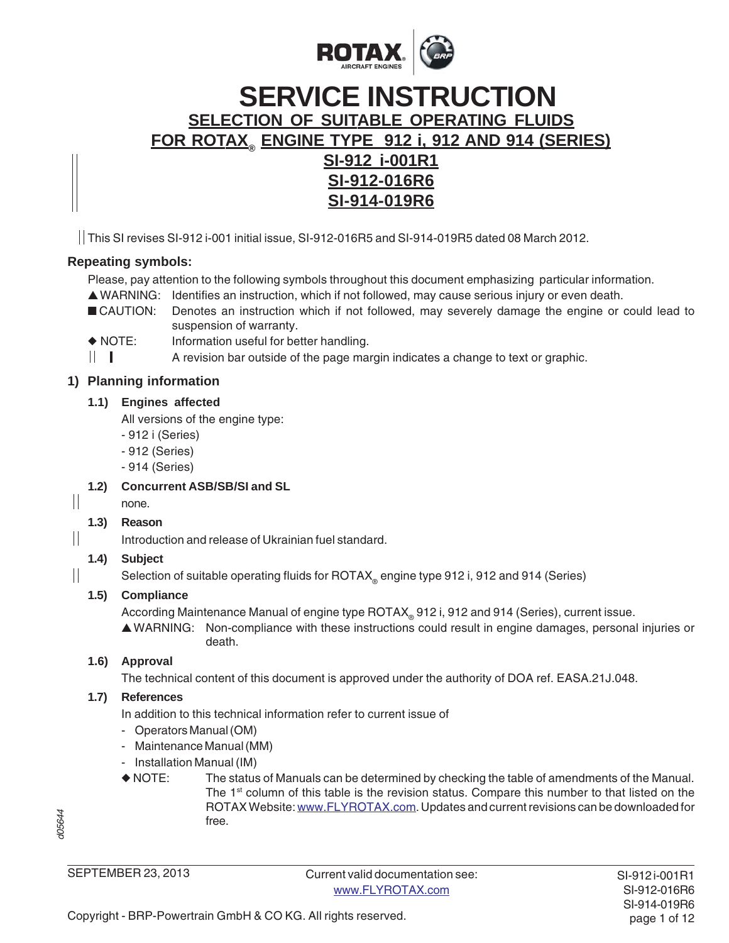

# **SELECTION OF SUITABLE OPERATING FLUIDS FOR ROTAX® ENGINE TYPE 912 i, 912 AND 914 (SERIES) SI-912 i-001R1 SI-912-016R6 SI-914-019R6 SERVICE INSTRUCTION**

This SI revises SI-912 i-001 initial issue, SI-912-016R5 and SI-914-019R5 dated 08 March 2012.

# **Repeating symbols:**

Please, pay attention to the following symbols throughout this document emphasizing particular information.

- ▲ WARNING: Identifies an instruction, which if not followed, may cause serious injury or even death.
- CAUTION: Denotes an instruction which if not followed, may severely damage the engine or could lead to suspension of warranty.
- ◆ NOTE: Information useful for better handling.
- $\mathbb{H}$   $\mathbb{R}$ A revision bar outside of the page margin indicates a change to text or graphic.

# **1) Planning information**

#### **1.1) Engines affected**

All versions of the engine type:

- 912 i (Series)
- 912 (Series)
- 914 (Series)

# **1.2) Concurrent ASB/SB/SI and SL**

#### $\mathbb{I}$ none.

 $\mathbb{I}$ 

 $\frac{1}{2}$ 

# **1.3) Reason**

Introduction and release of Ukrainian fuel standard.

# **1.4) Subject**

Selection of suitable operating fluids for ROTAX<sub>®</sub> engine type 912 i, 912 and 914 (Series)

# **1.5) Compliance**

According Maintenance Manual of engine type ROTAX® 912 i, 912 and 914 (Series), current issue.

▲ WARNING: Non-compliance with these instructions could result in engine damages, personal injuries or death.

# **1.6) Approval**

The technical content of this document is approved under the authority of DOA ref. EASA.21J.048.

# **1.7) References**

In addition to this technical information refer to current issue of

- Operators Manual (OM)
- Maintenance Manual (MM)
- Installation Manual (IM)
- ◆ NOTE: The status of Manuals can be determined by checking the table of amendments of the Manual. The  $1<sup>st</sup>$  column of this table is the revision status. Compare this number to that listed on the ROTAX Website: www.FLYROTAX.com. Updates and current revisions can be downloaded for free.

SEPTEMBER 23, 2013

Current valid documentation see: www.FLYROTAX.com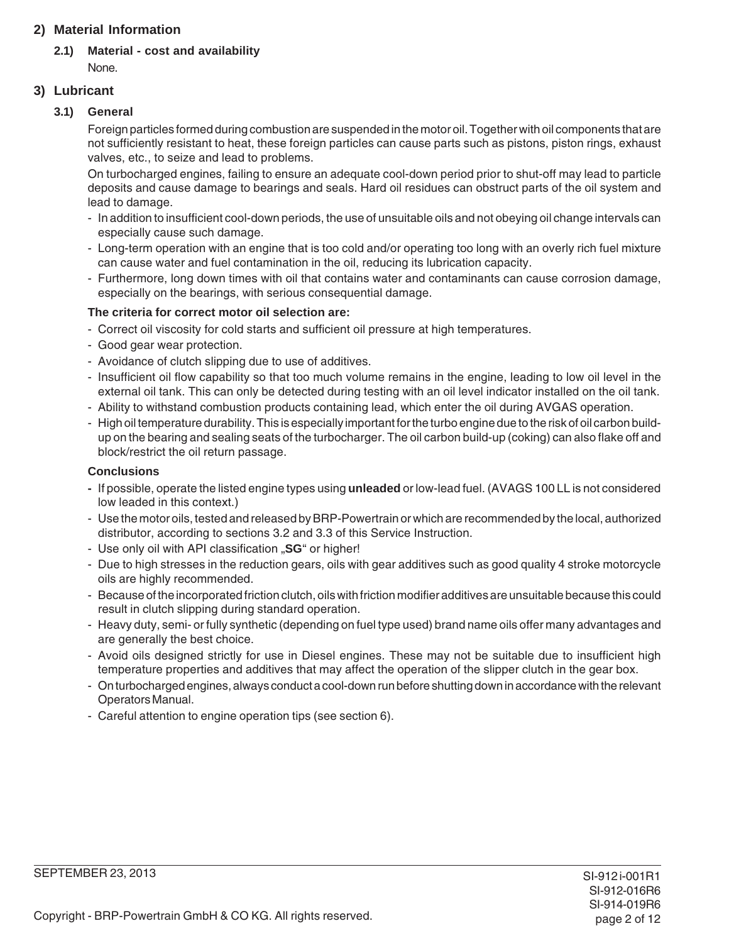# **2) Material Information**

# **2.1) Material - cost and availability**

None.

# **3) Lubricant**

# **3.1) General**

Foreign particles formed during combustion are suspended in the motor oil. Together with oil components that are not sufficiently resistant to heat, these foreign particles can cause parts such as pistons, piston rings, exhaust valves, etc., to seize and lead to problems.

On turbocharged engines, failing to ensure an adequate cool-down period prior to shut-off may lead to particle deposits and cause damage to bearings and seals. Hard oil residues can obstruct parts of the oil system and lead to damage.

- In addition to insufficient cool-down periods, the use of unsuitable oils and not obeying oil change intervals can especially cause such damage.
- Long-term operation with an engine that is too cold and/or operating too long with an overly rich fuel mixture can cause water and fuel contamination in the oil, reducing its lubrication capacity.
- Furthermore, long down times with oil that contains water and contaminants can cause corrosion damage, especially on the bearings, with serious consequential damage.

# **The criteria for correct motor oil selection are:**

- Correct oil viscosity for cold starts and sufficient oil pressure at high temperatures.
- Good gear wear protection.
- Avoidance of clutch slipping due to use of additives.
- Insufficient oil flow capability so that too much volume remains in the engine, leading to low oil level in the external oil tank. This can only be detected during testing with an oil level indicator installed on the oil tank.
- Ability to withstand combustion products containing lead, which enter the oil during AVGAS operation.
- High oil temperature durability. This is especially important for the turbo engine due to the risk of oil carbon buildup on the bearing and sealing seats of the turbocharger. The oil carbon build-up (coking) can also flake off and block/restrict the oil return passage.

# **Conclusions**

- **-** If possible, operate the listed engine types using **unleaded** or low-lead fuel. (AVAGS 100 LL is not considered low leaded in this context.)
- Use the motor oils, tested and released by BRP-Powertrain or which are recommended by the local, authorized distributor, according to sections 3.2 and 3.3 of this Service Instruction.
- Use only oil with API classification "SG" or higher!
- Due to high stresses in the reduction gears, oils with gear additives such as good quality 4 stroke motorcycle oils are highly recommended.
- Because of the incorporated friction clutch, oils with friction modifier additives are unsuitable because this could result in clutch slipping during standard operation.
- Heavy duty, semi- or fully synthetic (depending on fuel type used) brand name oils offer many advantages and are generally the best choice.
- Avoid oils designed strictly for use in Diesel engines. These may not be suitable due to insufficient high temperature properties and additives that may affect the operation of the slipper clutch in the gear box.
- On turbocharged engines, always conduct a cool-down run before shutting down in accordance with the relevant Operators Manual.
- Careful attention to engine operation tips (see section 6).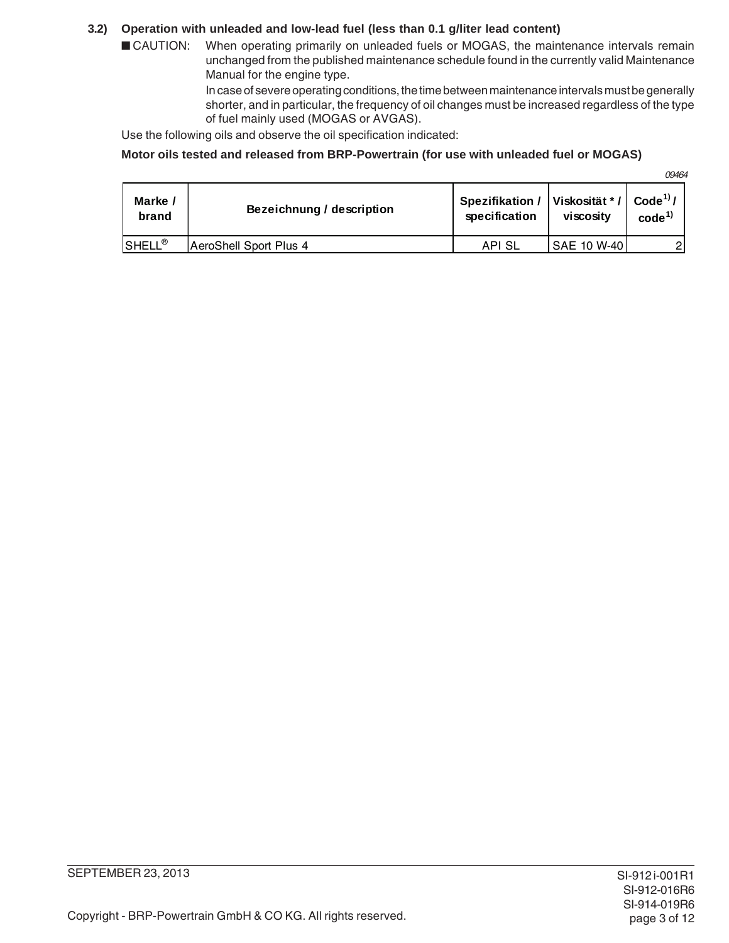#### **3.2) Operation with unleaded and low-lead fuel (less than 0.1 g/liter lead content)**

■ CAUTION: When operating primarily on unleaded fuels or MOGAS, the maintenance intervals remain unchanged from the published maintenance schedule found in the currently valid Maintenance Manual for the engine type.

> In case of severe operating conditions, the time between maintenance intervals must be generally shorter, and in particular, the frequency of oil changes must be increased regardless of the type of fuel mainly used (MOGAS or AVGAS).

Use the following oils and observe the oil specification indicated:

#### **Motor oils tested and released from BRP-Powertrain (for use with unleaded fuel or MOGAS)**

09464

| Marke /            | Bezeichnung / description | Spezifikation / | Viskosität */ | Code <sup>1</sup> / |
|--------------------|---------------------------|-----------------|---------------|---------------------|
| brand              |                           | specification   | viscosity     | code <sup>1</sup>   |
| SHELL <sup>®</sup> | AeroShell Sport Plus 4    | API SL          | SAE 10 W-40   | $\overline{2}$      |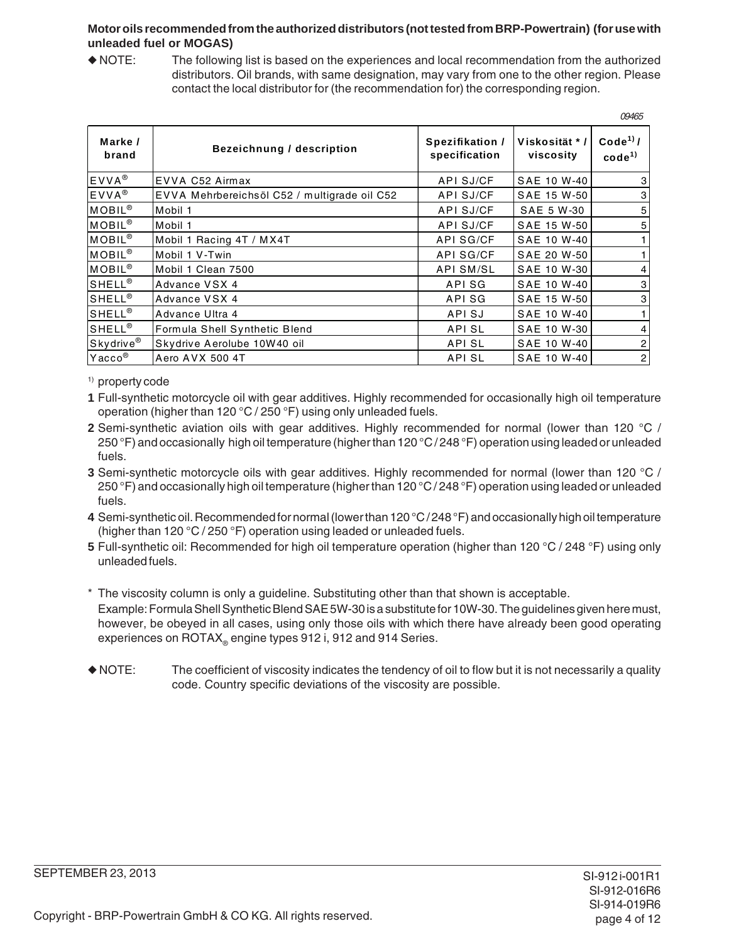#### **Motor oils recommended from the authorized distributors (not tested from BRP-Powertrain) (for use with unleaded fuel or MOGAS)**

◆ NOTE: The following list is based on the experiences and local recommendation from the authorized distributors. Oil brands, with same designation, may vary from one to the other region. Please contact the local distributor for (the recommendation for) the corresponding region.

|                       |                                              |                                  |                             | 09465                                     |
|-----------------------|----------------------------------------------|----------------------------------|-----------------------------|-------------------------------------------|
| Marke /<br>brand      | <b>Bezeichnung / description</b>             | Spezifikation /<br>specification | Viskosität * /<br>viscosity | Code <sup>1)</sup> /<br>code <sup>1</sup> |
| EVVA <sup>®</sup>     | EVVA C52 Airmax                              | API SJ/CF                        | SAE 10 W-40                 | 3                                         |
| EVVA <sup>®</sup>     | EVVA Mehrbereichsöl C52 / multigrade oil C52 | API SJ/CF                        | SAE 15 W-50                 | 3                                         |
| MOBIL <sup>®</sup>    | Mobil 1                                      | API SJ/CF                        | <b>SAE 5 W-30</b>           | 5                                         |
| <b>MOBIL®</b>         | Mobil 1                                      | API SJ/CF                        | SAE 15 W-50                 | 5                                         |
| MOBIL <sup>®</sup>    | Mobil 1 Racing 4T / MX4T                     | API SG/CF                        | SAE 10 W-40                 |                                           |
| MOBIL <sup>®</sup>    | Mobil 1 V-Twin                               | API SG/CF                        | SAE 20 W-50                 |                                           |
| MOBIL <sup>®</sup>    | Mobil 1 Clean 7500                           | <b>API SM/SL</b>                 | SAE 10 W-30                 | 4                                         |
| <b>SHELL®</b>         | Advance VSX 4                                | API SG                           | <b>SAE 10 W-40</b>          | 3                                         |
| SHELL <sup>®</sup>    | Advance VSX 4                                | API SG                           | SAE 15 W-50                 | 3                                         |
| SHELL <sup>®</sup>    | Advance Ultra 4                              | API SJ                           | <b>SAE 10 W-40</b>          |                                           |
| $SHEL^{\circ}$        | Formula Shell Synthetic Blend                | API SL                           | SAE 10 W-30                 | 4                                         |
| Skydrive <sup>®</sup> | Skydrive Aerolube 10W40 oil                  | <b>APISL</b>                     | SAE 10 W-40                 | 2                                         |
| Yacco <sup>®</sup>    | Aero AVX 500 4T                              | API SL                           | SAE 10 W-40                 | $\mathbf{2}$                              |

1) property code

**1** Full-synthetic motorcycle oil with gear additives. Highly recommended for occasionally high oil temperature operation (higher than 120 °C / 250 °F) using only unleaded fuels.

- **2** Semi-synthetic aviation oils with gear additives. Highly recommended for normal (lower than 120 °C / 250 °F) and occasionally high oil temperature (higher than 120 °C / 248 °F) operation using leaded or unleaded fuels.
- **3** Semi-synthetic motorcycle oils with gear additives. Highly recommended for normal (lower than 120 °C / 250 °F) and occasionally high oil temperature (higher than 120 °C / 248 °F) operation using leaded or unleaded fuels.
- **4** Semi-synthetic oil. Recommended for normal (lower than 120 °C / 248 °F) and occasionally high oil temperature (higher than 120 °C / 250 °F) operation using leaded or unleaded fuels.
- **5** Full-synthetic oil: Recommended for high oil temperature operation (higher than 120 °C / 248 °F) using only unleaded fuels.
- \* The viscosity column is only a guideline. Substituting other than that shown is acceptable. Example: Formula Shell Synthetic Blend SAE 5W-30 is a substitute for 10W-30. The guidelines given here must, however, be obeyed in all cases, using only those oils with which there have already been good operating experiences on ROTAX<sub>®</sub> engine types 912 i, 912 and 914 Series.
- ◆ NOTE: The coefficient of viscosity indicates the tendency of oil to flow but it is not necessarily a quality code. Country specific deviations of the viscosity are possible.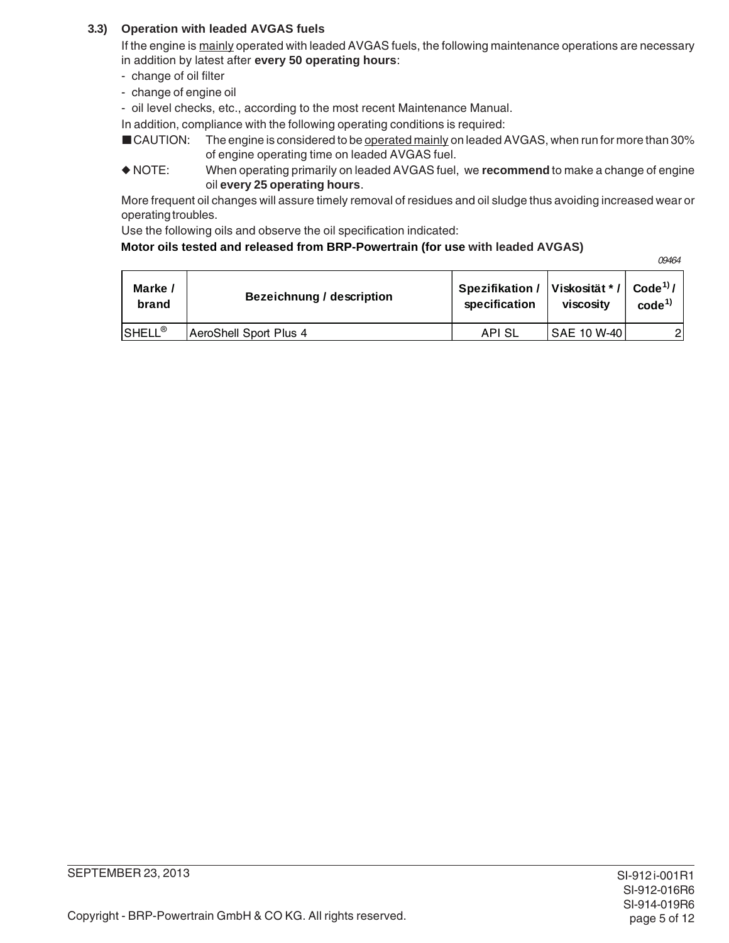# **3.3) Operation with leaded AVGAS fuels**

If the engine is mainly operated with leaded AVGAS fuels, the following maintenance operations are necessary in addition by latest after **every 50 operating hours**:

- change of oil filter
- change of engine oil
- oil level checks, etc., according to the most recent Maintenance Manual.

In addition, compliance with the following operating conditions is required:

- CAUTION: The engine is considered to be operated mainly on leaded AVGAS, when run for more than 30% of engine operating time on leaded AVGAS fuel.
- ◆ NOTE: When operating primarily on leaded AVGAS fuel, we **recommend** to make a change of engine oil **every 25 operating hours**.

More frequent oil changes will assure timely removal of residues and oil sludge thus avoiding increased wear or operating troubles.

Use the following oils and observe the oil specification indicated:

#### **Motor oils tested and released from BRP-Powertrain (for use with leaded AVGAS)**

09464

| Marke /<br>brand   | Bezeichnung / description | Spezifikation /   Viskosität * /   Code <sup>1)</sup> /<br>specification | viscosity          | code <sup>1</sup> |
|--------------------|---------------------------|--------------------------------------------------------------------------|--------------------|-------------------|
| SHELL <sup>®</sup> | AeroShell Sport Plus 4    | API SL                                                                   | <b>SAE 10 W-40</b> |                   |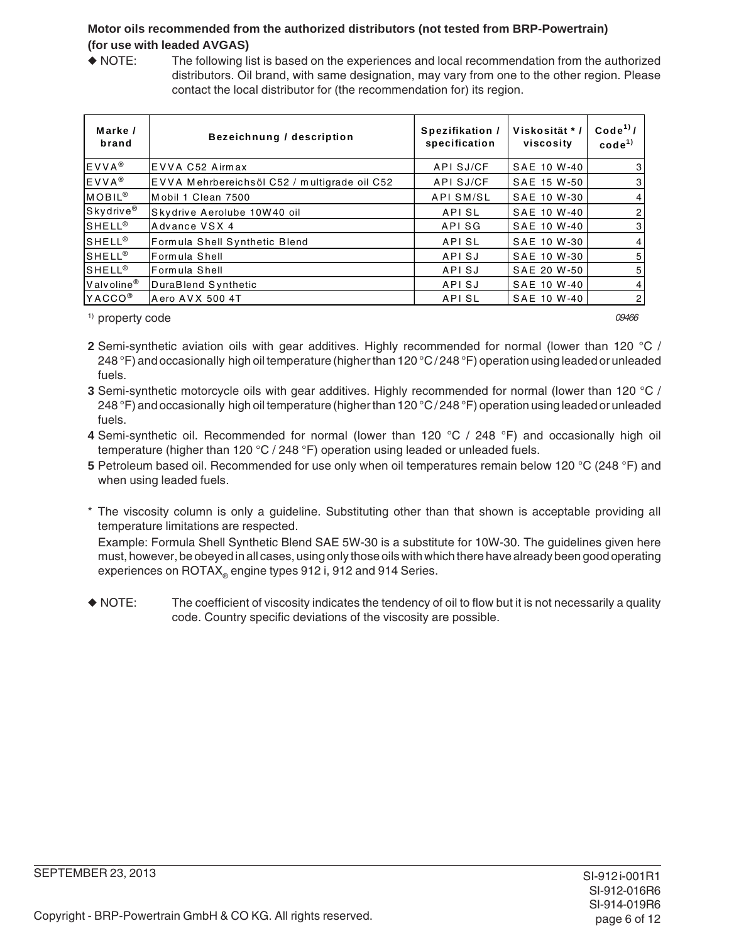### **Motor oils recommended from the authorized distributors (not tested from BRP-Powertrain) (for use with leaded AVGAS)**

◆ NOTE: The following list is based on the experiences and local recommendation from the authorized distributors. Oil brand, with same designation, may vary from one to the other region. Please contact the local distributor for (the recommendation for) its region.

| Marke /<br>brand      | <b>Bezeichnung / description</b>             | Spezifikation /<br>specification | Viskosität */<br>viscosity | Code <sup>1</sup><br>$code^{(1)}$ |
|-----------------------|----------------------------------------------|----------------------------------|----------------------------|-----------------------------------|
| $EVVA^{\circledR}$    | EVVA C52 Airmax                              | API SJ/CF                        | SAE 10 W-40                | 3                                 |
| EVVA <sup>®</sup>     | EVVA Mehrbereichsöl C52 / multigrade oil C52 | API SJ/CF                        | SAE 15 W-50                | 3                                 |
| MOBIL <sup>®</sup>    | Mobil 1 Clean 7500                           | <b>APISM/SL</b>                  | SAE 10 W-30                | 4                                 |
| Skydrive <sup>®</sup> | Skydrive Aerolube 10W40 oil                  | API SL                           | SAE 10 W-40                | $\overline{c}$                    |
| <b>SHELL®</b>         | Advance VSX 4                                | API SG                           | SAE 10 W-40                | 3                                 |
| $SHELL^{\circledR}$   | Formula Shell Synthetic Blend                | API SL                           | SAE 10 W-30                | 4                                 |
| <b>SHELL®</b>         | Formula Shell                                | API SJ                           | SAE 10 W-30                | 5                                 |
| $SHELL^@$             | Formula Shell                                | API SJ                           | SAE 20 W-50                | 5                                 |
| Valvoline®            | DuraBlend Synthetic                          | API SJ                           | SAE 10 W-40                | 4                                 |
| YACCO <sup>®</sup>    | Aero AVX 500 4T                              | <b>APISL</b>                     | SAE 10 W-40                | $\overline{2}$                    |

<sup>1)</sup> property code and the contract of the contract of the contract of the contract of the contract of the contract of the contract of the contract of the contract of the contract of the contract of the contract of the con

- 
- **2** Semi-synthetic aviation oils with gear additives. Highly recommended for normal (lower than 120 °C / 248 °F) and occasionally high oil temperature (higher than 120 °C / 248 °F) operation using leaded or unleaded fuels.
- **3** Semi-synthetic motorcycle oils with gear additives. Highly recommended for normal (lower than 120 °C / 248 °F) and occasionally high oil temperature (higher than 120 °C / 248 °F) operation using leaded or unleaded fuels.
- **4** Semi-synthetic oil. Recommended for normal (lower than 120 °C / 248 °F) and occasionally high oil temperature (higher than 120 °C / 248 °F) operation using leaded or unleaded fuels.
- **5** Petroleum based oil. Recommended for use only when oil temperatures remain below 120 °C (248 °F) and when using leaded fuels.
- \* The viscosity column is only a guideline. Substituting other than that shown is acceptable providing all temperature limitations are respected.

Example: Formula Shell Synthetic Blend SAE 5W-30 is a substitute for 10W-30. The guidelines given here must, however, be obeyed in all cases, using only those oils with which there have already been good operating experiences on ROTAX® engine types 912 i, 912 and 914 Series.

◆ NOTE: The coefficient of viscosity indicates the tendency of oil to flow but it is not necessarily a quality code. Country specific deviations of the viscosity are possible.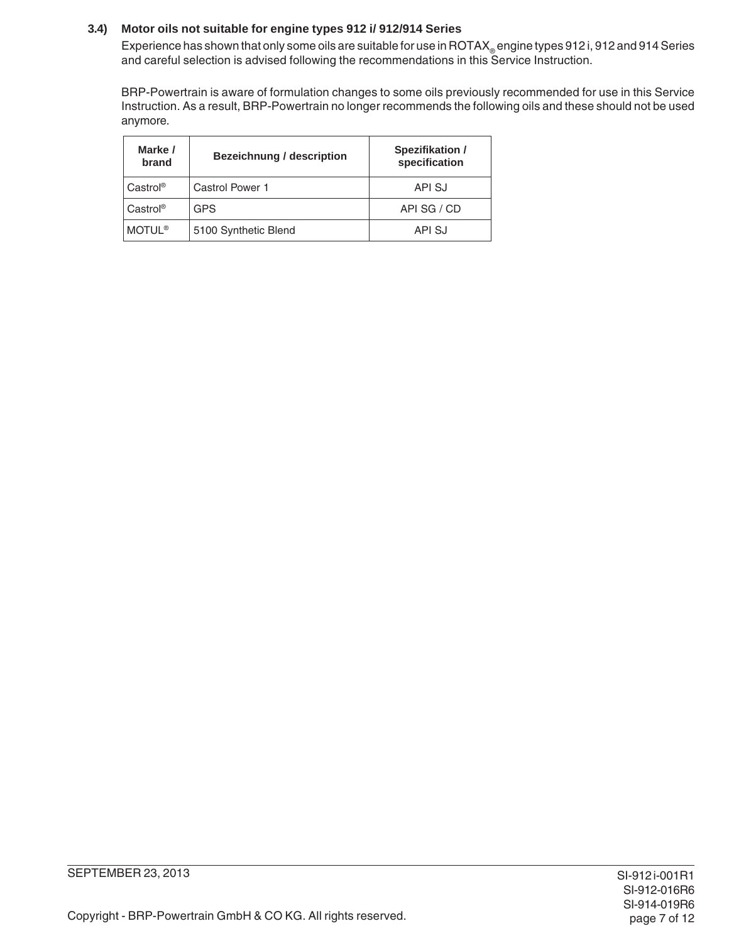#### **3.4) Motor oils not suitable for engine types 912 i/ 912/914 Series**

Experience has shown that only some oils are suitable for use in ROTAX engine types 912 i, 912 and 914 Series and careful selection is advised following the recommendations in this Service Instruction.

BRP-Powertrain is aware of formulation changes to some oils previously recommended for use in this Service Instruction. As a result, BRP-Powertrain no longer recommends the following oils and these should not be used anymore.

| Marke /<br>brand     | <b>Bezeichnung / description</b> | Spezifikation /<br>specification |
|----------------------|----------------------------------|----------------------------------|
| Castrol®             | Castrol Power 1                  | API SJ                           |
| Castrol <sup>®</sup> | <b>GPS</b>                       | API SG / CD                      |
| <b>MOTUL®</b>        | 5100 Synthetic Blend             | API SJ                           |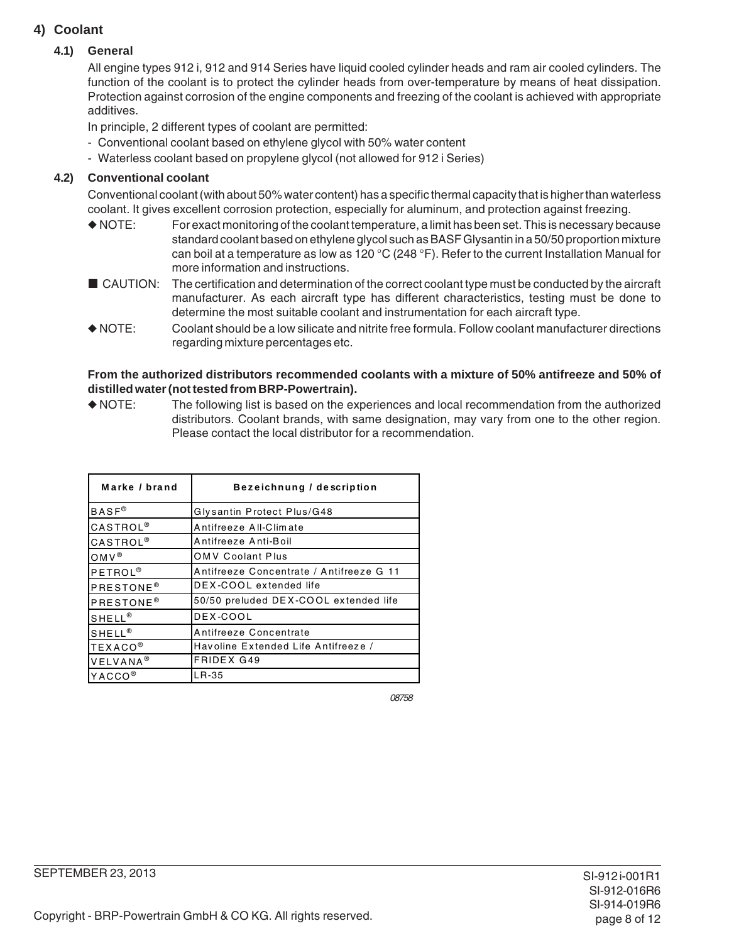# **4) Coolant**

#### **4.1) General**

All engine types 912 i, 912 and 914 Series have liquid cooled cylinder heads and ram air cooled cylinders. The function of the coolant is to protect the cylinder heads from over-temperature by means of heat dissipation. Protection against corrosion of the engine components and freezing of the coolant is achieved with appropriate additives.

In principle, 2 different types of coolant are permitted:

- Conventional coolant based on ethylene glycol with 50% water content
- Waterless coolant based on propylene glycol (not allowed for 912 i Series)

### **4.2) Conventional coolant**

Conventional coolant (with about 50% water content) has a specific thermal capacity that is higher than waterless coolant. It gives excellent corrosion protection, especially for aluminum, and protection against freezing.

- ◆ NOTE: For exact monitoring of the coolant temperature, a limit has been set. This is necessary because standard coolant based on ethylene glycol such as BASF Glysantin in a 50/50 proportion mixture can boil at a temperature as low as 120 °C (248 °F). Refer to the current Installation Manual for more information and instructions.
- CAUTION: The certification and determination of the correct coolant type must be conducted by the aircraft manufacturer. As each aircraft type has different characteristics, testing must be done to determine the most suitable coolant and instrumentation for each aircraft type.
- ◆ NOTE: Coolant should be a low silicate and nitrite free formula. Follow coolant manufacturer directions regarding mixture percentages etc.

#### **From the authorized distributors recommended coolants with a mixture of 50% antifreeze and 50% of distilled water (not tested from BRP-Powertrain).**

◆ NOTE: The following list is based on the experiences and local recommendation from the authorized distributors. Coolant brands, with same designation, may vary from one to the other region. Please contact the local distributor for a recommendation.

| Marke / brand               | Bezeichnung / description                |  |  |
|-----------------------------|------------------------------------------|--|--|
| $BASF^{\otimes}$            | Glysantin Protect Plus/G48               |  |  |
| <b>CASTROL</b> <sup>®</sup> | Antifreeze All-Climate                   |  |  |
| <b>CASTROL</b> <sup>®</sup> | Antifreeze Anti-Boil                     |  |  |
| $OMV^{\circledR}$           | <b>OMV Coolant Plus</b>                  |  |  |
| PETROL <sup>®</sup>         | Antifreeze Concentrate / Antifreeze G 11 |  |  |
| PRESTONE <sup>®</sup>       | DEX-COOL extended life                   |  |  |
| PRESTONE <sup>®</sup>       | 50/50 preluded DEX-COOL extended life    |  |  |
| SHELL <sup>®</sup>          | DEX-COOL                                 |  |  |
| $SHELL^@$                   | Antifreeze Concentrate                   |  |  |
| <b>TEXACO®</b>              | Havoline Extended Life Antifreeze /      |  |  |
| VELVANA <sup>®</sup>        | <b>FRIDEX G49</b>                        |  |  |
| YACCO <sup>®</sup>          | LR-35                                    |  |  |

08758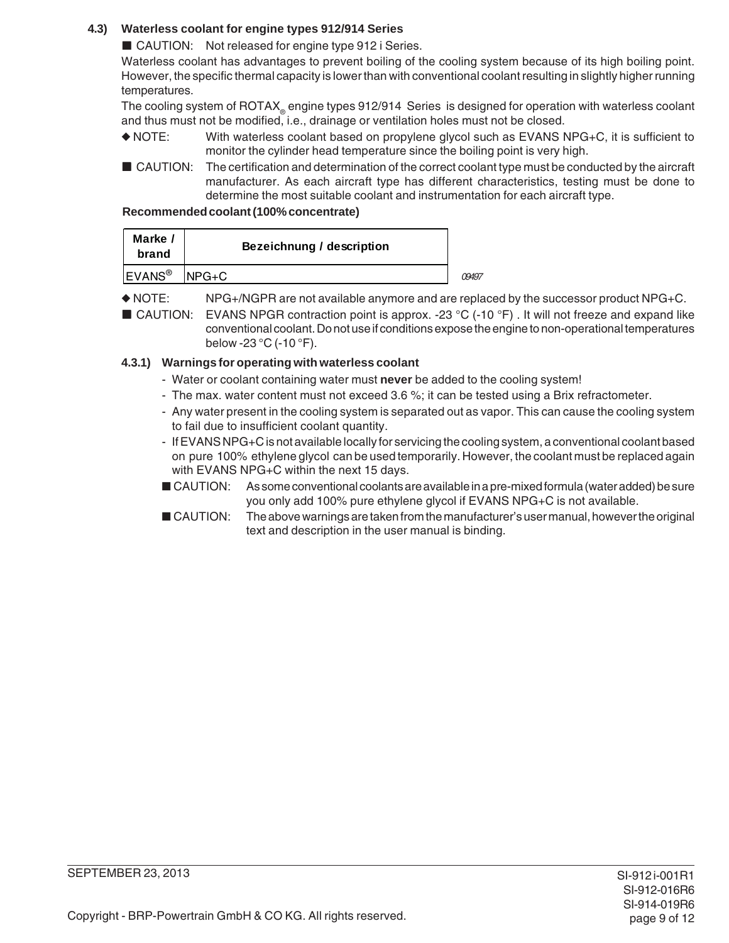# **4.3) Waterless coolant for engine types 912/914 Series**

■ CAUTION: Not released for engine type 912 i Series.

Waterless coolant has advantages to prevent boiling of the cooling system because of its high boiling point. However, the specific thermal capacity is lower than with conventional coolant resulting in slightly higher running temperatures.

The cooling system of ROTAX<sub>®</sub> engine types 912/914 Series is designed for operation with waterless coolant and thus must not be modified, i.e., drainage or ventilation holes must not be closed.

- ◆ NOTE: With waterless coolant based on propylene glycol such as EVANS NPG+C, it is sufficient to monitor the cylinder head temperature since the boiling point is very high.
- CAUTION: The certification and determination of the correct coolant type must be conducted by the aircraft manufacturer. As each aircraft type has different characteristics, testing must be done to determine the most suitable coolant and instrumentation for each aircraft type.

#### **Recommended coolant (100% concentrate)**

| Marke /<br>brand   | <b>Bezeichnung / description</b> |       |
|--------------------|----------------------------------|-------|
| EVANS <sup>®</sup> | $NPG+C$                          | 09497 |

◆ NOTE: NPG+/NGPR are not available anymore and are replaced by the successor product NPG+C.

■ CAUTION: EVANS NPGR contraction point is approx. -23 °C (-10 °F). It will not freeze and expand like conventional coolant. Do not use if conditions expose the engine to non-operational temperatures below -23 °C (-10 °F).

# **4.3.1) Warnings for operating with waterless coolant**

- Water or coolant containing water must **never** be added to the cooling system!
- The max. water content must not exceed 3.6 %; it can be tested using a Brix refractometer.
- Any water present in the cooling system is separated out as vapor. This can cause the cooling system to fail due to insufficient coolant quantity.
- If EVANS NPG+C is not available locally for servicing the cooling system, a conventional coolant based on pure 100% ethylene glycol can be used temporarily. However, the coolant must be replaced again with EVANS NPG+C within the next 15 days.
- CAUTION: As some conventional coolants are available in a pre-mixed formula (water added) be sure you only add 100% pure ethylene glycol if EVANS NPG+C is not available.
- CAUTION: The above warnings are taken from the manufacturer's user manual, however the original text and description in the user manual is binding.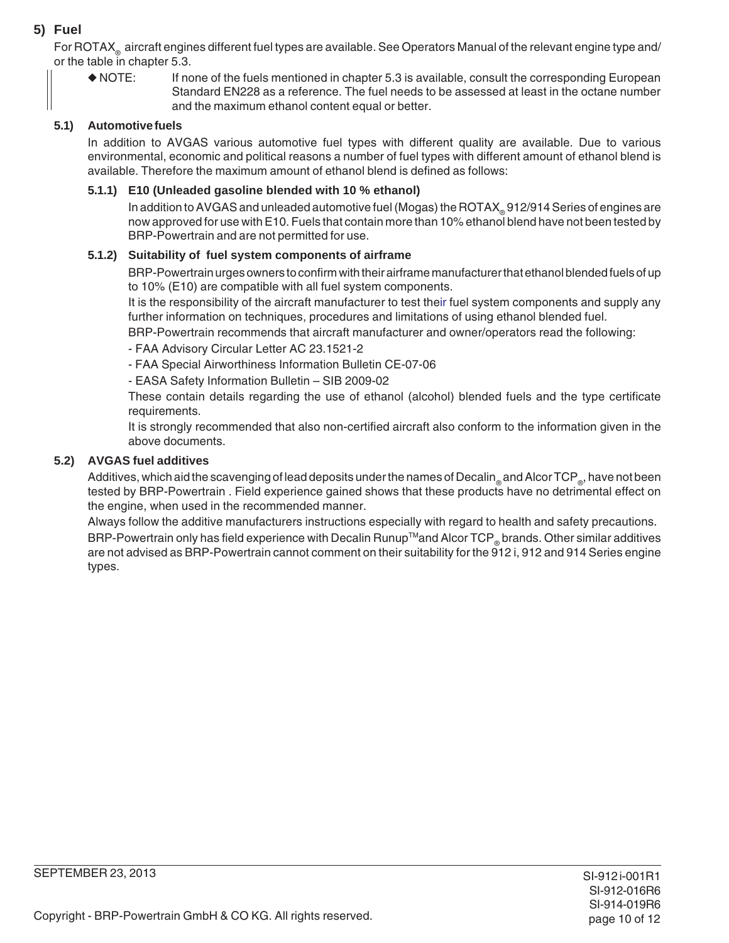# **5) Fuel**

For ROTAX<sub>®</sub> aircraft engines different fuel types are available. See Operators Manual of the relevant engine type and/ or the table in chapter 5.3.

◆ NOTE: If none of the fuels mentioned in chapter 5.3 is available, consult the corresponding European Standard EN228 as a reference. The fuel needs to be assessed at least in the octane number and the maximum ethanol content equal or better.

### **5.1) Automotive fuels**

In addition to AVGAS various automotive fuel types with different quality are available. Due to various environmental, economic and political reasons a number of fuel types with different amount of ethanol blend is available. Therefore the maximum amount of ethanol blend is defined as follows:

#### **5.1.1) E10 (Unleaded gasoline blended with 10 % ethanol)**

In addition to AVGAS and unleaded automotive fuel (Mogas) the ROTAX® 912/914 Series of engines are now approved for use with E10. Fuels that contain more than 10% ethanol blend have not been tested by BRP-Powertrain and are not permitted for use.

#### **5.1.2) Suitability of fuel system components of airframe**

BRP-Powertrain urges owners to confirm with their airframe manufacturer that ethanol blended fuels of up to 10% (E10) are compatible with all fuel system components.

It is the responsibility of the aircraft manufacturer to test their fuel system components and supply any further information on techniques, procedures and limitations of using ethanol blended fuel.

BRP-Powertrain recommends that aircraft manufacturer and owner/operators read the following:

- FAA Advisory Circular Letter AC 23.1521-2
- FAA Special Airworthiness Information Bulletin CE-07-06
- EASA Safety Information Bulletin SIB 2009-02

These contain details regarding the use of ethanol (alcohol) blended fuels and the type certificate requirements.

It is strongly recommended that also non-certified aircraft also conform to the information given in the above documents.

#### **5.2) AVGAS fuel additives**

Additives, which aid the scavenging of lead deposits under the names of Decalin and Alcor TCP a, have not been tested by BRP-Powertrain . Field experience gained shows that these products have no detrimental effect on the engine, when used in the recommended manner.

Always follow the additive manufacturers instructions especially with regard to health and safety precautions. BRP-Powertrain only has field experience with Decalin Runup<sup>TM</sup>and Alcor TCP<sub>®</sub> brands. Other similar additives are not advised as BRP-Powertrain cannot comment on their suitability for the 912 i, 912 and 914 Series engine types.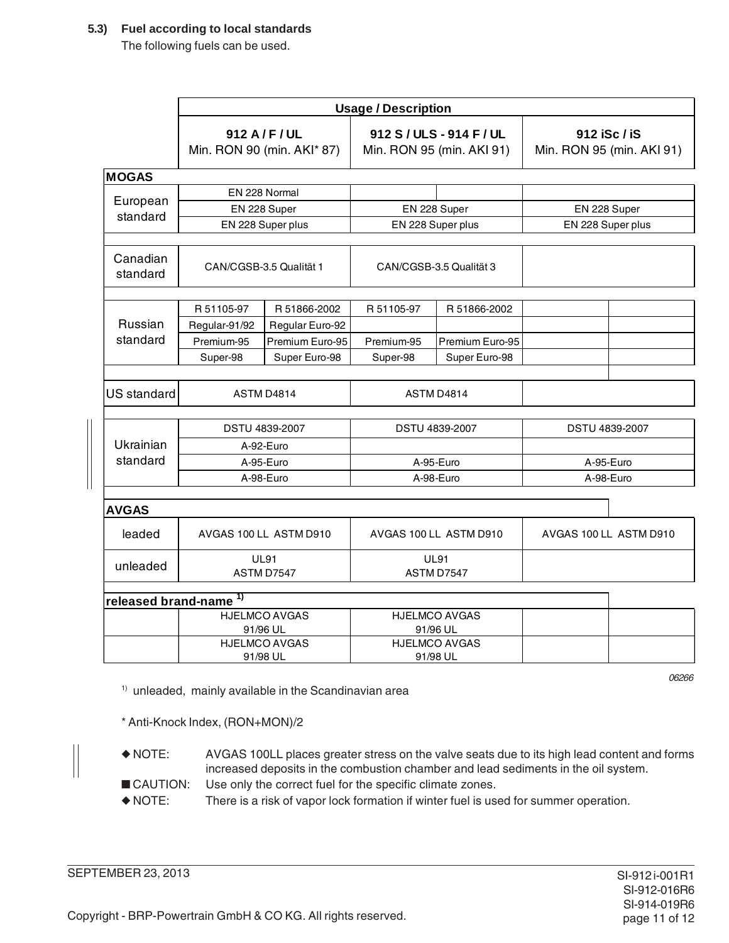#### **5.3) Fuel according to local standards**

The following fuels can be used.

|                                   | <b>Usage / Description</b> |                                              |                                                       |                        |                                           |  |
|-----------------------------------|----------------------------|----------------------------------------------|-------------------------------------------------------|------------------------|-------------------------------------------|--|
|                                   |                            | 912 A / F / UL<br>Min. RON 90 (min. AKI* 87) | 912 S / ULS - 914 F / UL<br>Min. RON 95 (min. AKI 91) |                        | 912 iSc / iS<br>Min. RON 95 (min. AKI 91) |  |
| <b>MOGAS</b>                      |                            |                                              |                                                       |                        |                                           |  |
|                                   | EN 228 Normal              |                                              |                                                       |                        |                                           |  |
| European<br>standard              | EN 228 Super               |                                              | EN 228 Super                                          |                        | EN 228 Super                              |  |
|                                   |                            | EN 228 Super plus                            |                                                       | EN 228 Super plus      | EN 228 Super plus                         |  |
| Canadian<br>standard              |                            | CAN/CGSB-3.5 Qualität 1                      | CAN/CGSB-3.5 Qualität 3                               |                        |                                           |  |
|                                   | R 51105-97                 | R 51866-2002                                 | R 51105-97                                            | R 51866-2002           |                                           |  |
| Russian                           | Regular-91/92              | Regular Euro-92                              |                                                       |                        |                                           |  |
| standard                          | Premium-95                 | Premium Euro-95                              | Premium-95                                            | Premium Euro-95        |                                           |  |
|                                   | Super-98                   | Super Euro-98                                | Super-98                                              | Super Euro-98          |                                           |  |
|                                   |                            |                                              |                                                       |                        |                                           |  |
| <b>US</b> standard                | ASTM D4814                 |                                              | <b>ASTM D4814</b>                                     |                        |                                           |  |
|                                   |                            | <b>DSTU 4839-2007</b>                        |                                                       | DSTU 4839-2007         | DSTU 4839-2007                            |  |
| Ukrainian                         |                            | A-92-Euro                                    |                                                       |                        |                                           |  |
| standard                          | A-95-Euro                  |                                              | A-95-Euro                                             |                        | A-95-Euro                                 |  |
|                                   | A-98-Euro                  |                                              | A-98-Euro                                             |                        | A-98-Euro                                 |  |
| <b>AVGAS</b>                      |                            |                                              |                                                       |                        |                                           |  |
| leaded                            |                            | AVGAS 100 LL ASTM D910                       |                                                       | AVGAS 100 LL ASTM D910 | AVGAS 100 LL ASTM D910                    |  |
| unleaded                          | <b>UL91</b><br>ASTM D7547  |                                              | <b>UL91</b><br>ASTM D7547                             |                        |                                           |  |
| released brand-name <sup>1)</sup> |                            |                                              |                                                       |                        |                                           |  |
|                                   |                            | <b>HJELMCO AVGAS</b>                         |                                                       | <b>HJELMCO AVGAS</b>   |                                           |  |
|                                   |                            | 91/96 UL                                     |                                                       | 91/96 UL               |                                           |  |
|                                   |                            | <b>HJELMCO AVGAS</b>                         |                                                       | <b>HJELMCO AVGAS</b>   |                                           |  |
|                                   |                            | 91/98 UL                                     |                                                       | 91/98 UL               |                                           |  |

1) unleaded, mainly available in the Scandinavian area

06266

\* Anti-Knock Index, (RON+MON)/2

- ◆ NOTE: AVGAS 100LL places greater stress on the valve seats due to its high lead content and forms increased deposits in the combustion chamber and lead sediments in the oil system.
- CAUTION: Use only the correct fuel for the specific climate zones.
- ◆ NOTE: There is a risk of vapor lock formation if winter fuel is used for summer operation.

SEPTEMBER 23, 2013